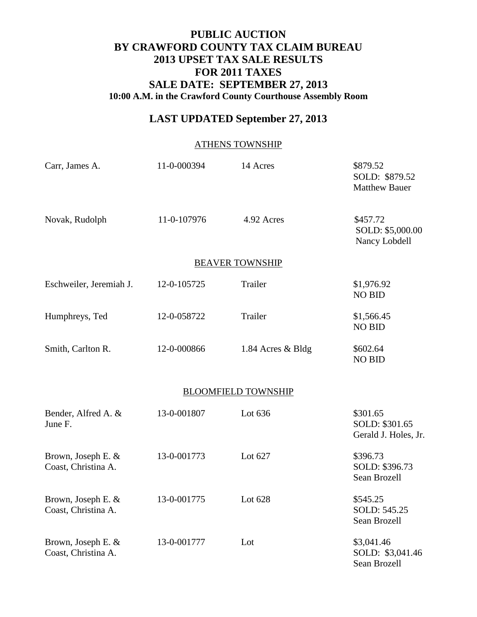## **PUBLIC AUCTION BY CRAWFORD COUNTY TAX CLAIM BUREAU 2013 UPSET TAX SALE RESULTS FOR 2011 TAXES SALE DATE: SEPTEMBER 27, 2013 10:00 A.M. in the Crawford County Courthouse Assembly Room**

# **LAST UPDATED September 27, 2013**

#### ATHENS TOWNSHIP

| Carr, James A.                            | 11-0-000394 | 14 Acres                   | \$879.52<br>SOLD: \$879.52<br><b>Matthew Bauer</b> |
|-------------------------------------------|-------------|----------------------------|----------------------------------------------------|
| Novak, Rudolph                            | 11-0-107976 | 4.92 Acres                 | \$457.72<br>SOLD: \$5,000.00<br>Nancy Lobdell      |
|                                           |             | <b>BEAVER TOWNSHIP</b>     |                                                    |
| Eschweiler, Jeremiah J.                   | 12-0-105725 | Trailer                    | \$1,976.92<br><b>NO BID</b>                        |
| Humphreys, Ted                            | 12-0-058722 | Trailer                    | \$1,566.45<br><b>NO BID</b>                        |
| Smith, Carlton R.                         | 12-0-000866 | 1.84 Acres & Bldg          | \$602.64<br><b>NO BID</b>                          |
|                                           |             | <b>BLOOMFIELD TOWNSHIP</b> |                                                    |
| Bender, Alfred A. &<br>June F.            | 13-0-001807 | Lot 636                    | \$301.65<br>SOLD: \$301.65<br>Gerald J. Holes, Jr. |
| Brown, Joseph E. &<br>Coast, Christina A. | 13-0-001773 | Lot 627                    | \$396.73<br>SOLD: \$396.73<br>Sean Brozell         |
| Brown, Joseph E. &<br>Coast, Christina A. | 13-0-001775 | Lot 628                    | \$545.25<br>SOLD: 545.25<br>Sean Brozell           |
| Brown, Joseph E. &<br>Coast, Christina A. | 13-0-001777 | Lot                        | \$3,041.46<br>SOLD: \$3,041.46<br>Sean Brozell     |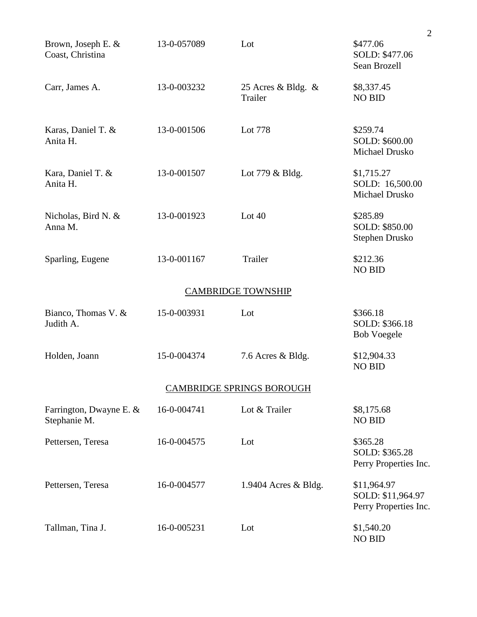|                                         |             |                                  | $\overline{2}$                                            |
|-----------------------------------------|-------------|----------------------------------|-----------------------------------------------------------|
| Brown, Joseph E. &<br>Coast, Christina  | 13-0-057089 | Lot                              | \$477.06<br>SOLD: \$477.06<br>Sean Brozell                |
| Carr, James A.                          | 13-0-003232 | 25 Acres & Bldg. $\&$<br>Trailer | \$8,337.45<br><b>NO BID</b>                               |
| Karas, Daniel T. &<br>Anita H.          | 13-0-001506 | Lot 778                          | \$259.74<br>SOLD: \$600.00<br>Michael Drusko              |
| Kara, Daniel T. &<br>Anita H.           | 13-0-001507 | Lot $779 \&$ Bldg.               | \$1,715.27<br>SOLD: 16,500.00<br>Michael Drusko           |
| Nicholas, Bird N. &<br>Anna M.          | 13-0-001923 | Lot $40$                         | \$285.89<br>SOLD: \$850.00<br>Stephen Drusko              |
| Sparling, Eugene                        | 13-0-001167 | Trailer                          | \$212.36<br><b>NO BID</b>                                 |
|                                         |             | <b>CAMBRIDGE TOWNSHIP</b>        |                                                           |
| Bianco, Thomas V. &<br>Judith A.        | 15-0-003931 | Lot                              | \$366.18<br>SOLD: \$366.18<br><b>Bob Voegele</b>          |
| Holden, Joann                           | 15-0-004374 | 7.6 Acres & Bldg.                | \$12,904.33<br><b>NO BID</b>                              |
|                                         |             | <b>CAMBRIDGE SPRINGS BOROUGH</b> |                                                           |
| Farrington, Dwayne E. &<br>Stephanie M. | 16-0-004741 | Lot & Trailer                    | \$8,175.68<br><b>NO BID</b>                               |
| Pettersen, Teresa                       | 16-0-004575 | Lot                              | \$365.28<br>SOLD: \$365.28<br>Perry Properties Inc.       |
| Pettersen, Teresa                       | 16-0-004577 | 1.9404 Acres $\&$ Bldg.          | \$11,964.97<br>SOLD: \$11,964.97<br>Perry Properties Inc. |
| Tallman, Tina J.                        | 16-0-005231 | Lot                              | \$1,540.20<br><b>NO BID</b>                               |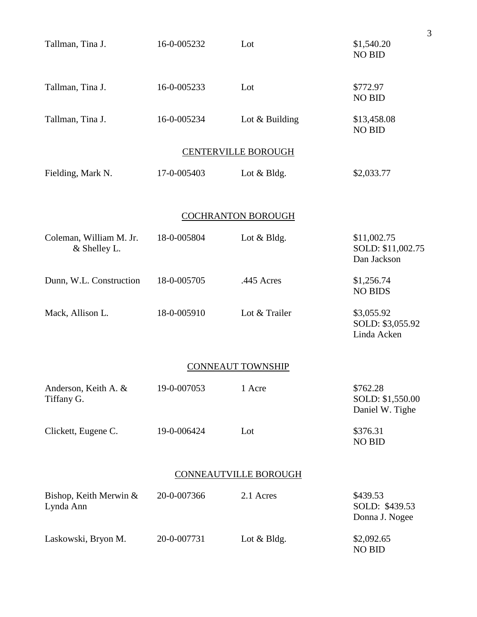| Tallman, Tina J.                        | 16-0-005232 | Lot                          | \$1,540.20<br><b>NO BID</b>                     |
|-----------------------------------------|-------------|------------------------------|-------------------------------------------------|
| Tallman, Tina J.                        | 16-0-005233 | Lot                          | \$772.97<br><b>NO BID</b>                       |
| Tallman, Tina J.                        | 16-0-005234 | Lot & Building               | \$13,458.08<br><b>NO BID</b>                    |
|                                         |             | <b>CENTERVILLE BOROUGH</b>   |                                                 |
| Fielding, Mark N.                       | 17-0-005403 | Lot & Bldg.                  | \$2,033.77                                      |
|                                         |             | <b>COCHRANTON BOROUGH</b>    |                                                 |
| Coleman, William M. Jr.<br>& Shelley L. | 18-0-005804 | Lot $& Bldg.$                | \$11,002.75<br>SOLD: \$11,002.75<br>Dan Jackson |
| Dunn, W.L. Construction                 | 18-0-005705 | .445 Acres                   | \$1,256.74<br><b>NO BIDS</b>                    |
| Mack, Allison L.                        | 18-0-005910 | Lot & Trailer                | \$3,055.92<br>SOLD: \$3,055.92<br>Linda Acken   |
|                                         |             | <b>CONNEAUT TOWNSHIP</b>     |                                                 |
| Anderson, Keith A. &<br>Tiffany G.      | 19-0-007053 | 1 Acre                       | \$762.28<br>SOLD: \$1,550.00<br>Daniel W. Tighe |
| Clickett, Eugene C.                     | 19-0-006424 | Lot                          | \$376.31<br><b>NO BID</b>                       |
|                                         |             | <b>CONNEAUTVILLE BOROUGH</b> |                                                 |
| Bishop, Keith Merwin &<br>Lynda Ann     | 20-0-007366 | 2.1 Acres                    | \$439.53<br>SOLD: \$439.53<br>Donna J. Nogee    |
| Laskowski, Bryon M.                     | 20-0-007731 | Lot & Bldg.                  | \$2,092.65<br><b>NO BID</b>                     |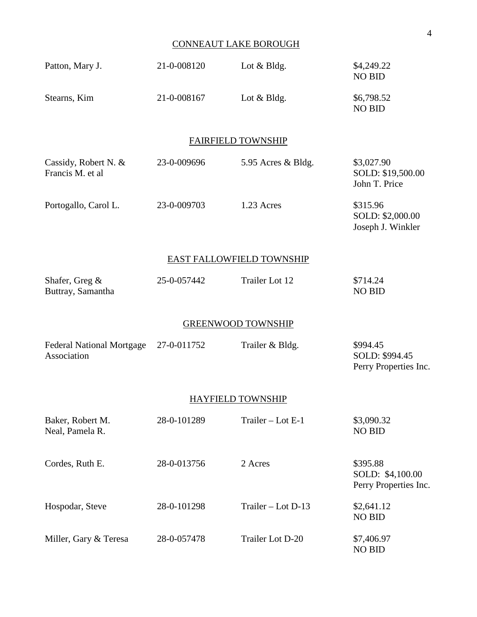### CONNEAUT LAKE BOROUGH

| Patton, Mary J.                                 | 21-0-008120 | Lot & Bldg.               | \$4,249.22<br><b>NO BID</b>                           |
|-------------------------------------------------|-------------|---------------------------|-------------------------------------------------------|
| Stearns, Kim                                    | 21-0-008167 | Lot & Bldg.               | \$6,798.52<br><b>NO BID</b>                           |
|                                                 |             | <b>FAIRFIELD TOWNSHIP</b> |                                                       |
| Cassidy, Robert N. &<br>Francis M. et al        | 23-0-009696 | 5.95 Acres & Bldg.        | \$3,027.90<br>SOLD: \$19,500.00<br>John T. Price      |
| Portogallo, Carol L.                            | 23-0-009703 | 1.23 Acres                | \$315.96<br>SOLD: \$2,000.00<br>Joseph J. Winkler     |
|                                                 |             | EAST FALLOWFIELD TOWNSHIP |                                                       |
| Shafer, Greg &<br>Buttray, Samantha             | 25-0-057442 | Trailer Lot 12            | \$714.24<br><b>NO BID</b>                             |
|                                                 |             | <b>GREENWOOD TOWNSHIP</b> |                                                       |
| <b>Federal National Mortgage</b><br>Association | 27-0-011752 | Trailer & Bldg.           | \$994.45<br>SOLD: \$994.45<br>Perry Properties Inc.   |
|                                                 |             | <b>HAYFIELD TOWNSHIP</b>  |                                                       |
| Baker, Robert M.<br>Neal, Pamela R.             | 28-0-101289 | Trailer - Lot E-1         | \$3,090.32<br><b>NO BID</b>                           |
| Cordes, Ruth E.                                 | 28-0-013756 | 2 Acres                   | \$395.88<br>SOLD: \$4,100.00<br>Perry Properties Inc. |
| Hospodar, Steve                                 | 28-0-101298 | Trailer - Lot D-13        | \$2,641.12<br><b>NO BID</b>                           |
| Miller, Gary & Teresa                           | 28-0-057478 | Trailer Lot D-20          | \$7,406.97<br><b>NO BID</b>                           |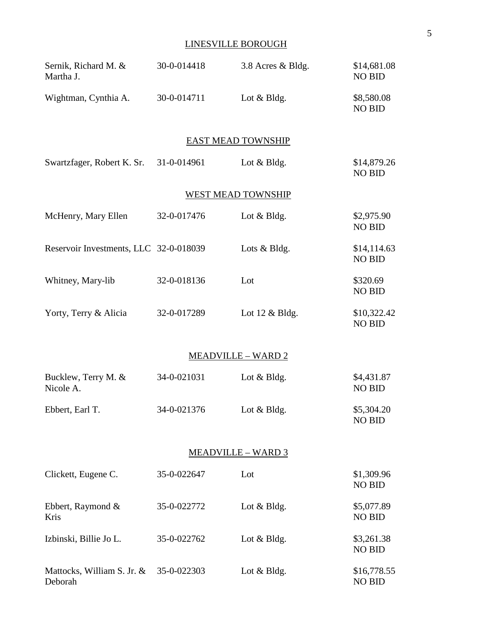### LINESVILLE BOROUGH

| Sernik, Richard M. &<br>Martha J.      | 30-0-014418 | 3.8 Acres & Bldg.         | \$14,681.08<br><b>NO BID</b> |
|----------------------------------------|-------------|---------------------------|------------------------------|
| Wightman, Cynthia A.                   | 30-0-014711 | Lot & Bldg.               | \$8,580.08<br><b>NO BID</b>  |
|                                        |             | <b>EAST MEAD TOWNSHIP</b> |                              |
| Swartzfager, Robert K. Sr.             | 31-0-014961 | Lot $& Bldg.$             | \$14,879.26<br><b>NO BID</b> |
|                                        |             | <b>WEST MEAD TOWNSHIP</b> |                              |
| McHenry, Mary Ellen                    | 32-0-017476 | Lot $& Bldg.$             | \$2,975.90<br><b>NO BID</b>  |
| Reservoir Investments, LLC 32-0-018039 |             | Lots & Bldg.              | \$14,114.63<br><b>NO BID</b> |
| Whitney, Mary-lib                      | 32-0-018136 | Lot                       | \$320.69<br><b>NO BID</b>    |
| Yorty, Terry & Alicia                  | 32-0-017289 | Lot $12 \&$ Bldg.         | \$10,322.42<br><b>NO BID</b> |
|                                        |             | <b>MEADVILLE - WARD 2</b> |                              |
| Bucklew, Terry M. &<br>Nicole A.       | 34-0-021031 | Lot & Bldg.               | \$4,431.87<br><b>NO BID</b>  |
| Ebbert, Earl T.                        | 34-0-021376 | Lot & Bldg.               | \$5,304.20<br><b>NO BID</b>  |
|                                        |             | <u>MEADVILLE – WARD 3</u> |                              |
| Clickett, Eugene C.                    | 35-0-022647 | Lot                       | \$1,309.96<br><b>NO BID</b>  |
| Ebbert, Raymond $\&$<br>Kris           | 35-0-022772 | Lot & Bldg.               | \$5,077.89<br><b>NO BID</b>  |
| Izbinski, Billie Jo L.                 | 35-0-022762 | Lot $& Bldg.$             | \$3,261.38<br><b>NO BID</b>  |
| Mattocks, William S. Jr. &<br>Deborah  | 35-0-022303 | Lot & Bldg.               | \$16,778.55<br><b>NO BID</b> |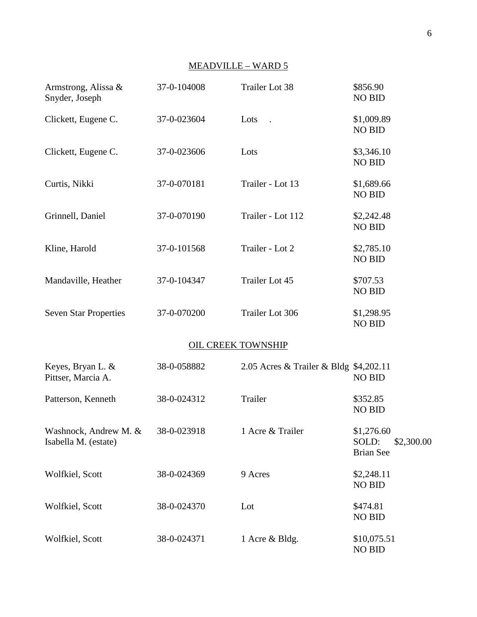## MEADVILLE – WARD 5

| Armstrong, Alissa &<br>Snyder, Joseph         | 37-0-104008 | <b>Trailer Lot 38</b>                  | \$856.90<br><b>NO BID</b>                             |
|-----------------------------------------------|-------------|----------------------------------------|-------------------------------------------------------|
| Clickett, Eugene C.                           | 37-0-023604 | Lots                                   | \$1,009.89<br><b>NO BID</b>                           |
| Clickett, Eugene C.                           | 37-0-023606 | Lots                                   | \$3,346.10<br><b>NO BID</b>                           |
| Curtis, Nikki                                 | 37-0-070181 | Trailer - Lot 13                       | \$1,689.66<br><b>NO BID</b>                           |
| Grinnell, Daniel                              | 37-0-070190 | Trailer - Lot 112                      | \$2,242.48<br><b>NO BID</b>                           |
| Kline, Harold                                 | 37-0-101568 | Trailer - Lot 2                        | \$2,785.10<br><b>NO BID</b>                           |
| Mandaville, Heather                           | 37-0-104347 | Trailer Lot 45                         | \$707.53<br><b>NO BID</b>                             |
| <b>Seven Star Properties</b>                  | 37-0-070200 | Trailer Lot 306                        | \$1,298.95<br><b>NO BID</b>                           |
|                                               |             | <b>OIL CREEK TOWNSHIP</b>              |                                                       |
| Keyes, Bryan L. &<br>Pittser, Marcia A.       | 38-0-058882 | 2.05 Acres & Trailer & Bldg \$4,202.11 | <b>NO BID</b>                                         |
| Patterson, Kenneth                            | 38-0-024312 | Trailer                                | \$352.85<br><b>NO BID</b>                             |
| Washnock, Andrew M. &<br>Isabella M. (estate) | 38-0-023918 | 1 Acre & Trailer                       | \$1,276.60<br>SOLD:<br>\$2,300.00<br><b>Brian See</b> |
| Wolfkiel, Scott                               | 38-0-024369 | 9 Acres                                | \$2,248.11<br><b>NO BID</b>                           |
| Wolfkiel, Scott                               | 38-0-024370 | Lot                                    | \$474.81<br>NO BID                                    |
| Wolfkiel, Scott                               | 38-0-024371 | 1 Acre & Bldg.                         | \$10,075.51<br><b>NO BID</b>                          |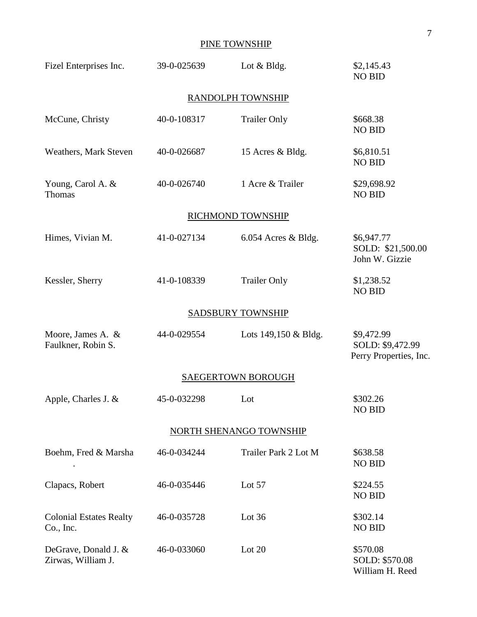### PINE TOWNSHIP

| Fizel Enterprises Inc.                      | 39-0-025639 | Lot $& Bldg.$            | \$2,145.43<br><b>NO BID</b>                              |
|---------------------------------------------|-------------|--------------------------|----------------------------------------------------------|
|                                             |             | RANDOLPH TOWNSHIP        |                                                          |
| McCune, Christy                             | 40-0-108317 | <b>Trailer Only</b>      | \$668.38<br><b>NO BID</b>                                |
| Weathers, Mark Steven                       | 40-0-026687 | 15 Acres & Bldg.         | \$6,810.51<br><b>NO BID</b>                              |
| Young, Carol A. &<br>Thomas                 | 40-0-026740 | 1 Acre & Trailer         | \$29,698.92<br><b>NO BID</b>                             |
|                                             |             | RICHMOND TOWNSHIP        |                                                          |
| Himes, Vivian M.                            | 41-0-027134 | $6.054$ Acres & Bldg.    | \$6,947.77<br>SOLD: \$21,500.00<br>John W. Gizzie        |
| Kessler, Sherry                             | 41-0-108339 | <b>Trailer Only</b>      | \$1,238.52<br><b>NO BID</b>                              |
|                                             |             | <b>SADSBURY TOWNSHIP</b> |                                                          |
| Moore, James A. &<br>Faulkner, Robin S.     | 44-0-029554 | Lots $149,150 \&$ Bldg.  | \$9,472.99<br>SOLD: \$9,472.99<br>Perry Properties, Inc. |
|                                             |             | SAEGERTOWN BOROUGH       |                                                          |
| Apple, Charles J. &                         | 45-0-032298 | Lot                      | \$302.26<br><b>NO BID</b>                                |
|                                             |             | NORTH SHENANGO TOWNSHIP  |                                                          |
| Boehm, Fred & Marsha                        | 46-0-034244 | Trailer Park 2 Lot M     | \$638.58<br><b>NO BID</b>                                |
| Clapacs, Robert                             | 46-0-035446 | Lot 57                   | \$224.55<br><b>NO BID</b>                                |
| <b>Colonial Estates Realty</b><br>Co., Inc. | 46-0-035728 | Lot $36$                 | \$302.14<br><b>NO BID</b>                                |
| DeGrave, Donald J. &<br>Zirwas, William J.  | 46-0-033060 | Lot $20$                 | \$570.08<br>SOLD: \$570.08<br>William H. Reed            |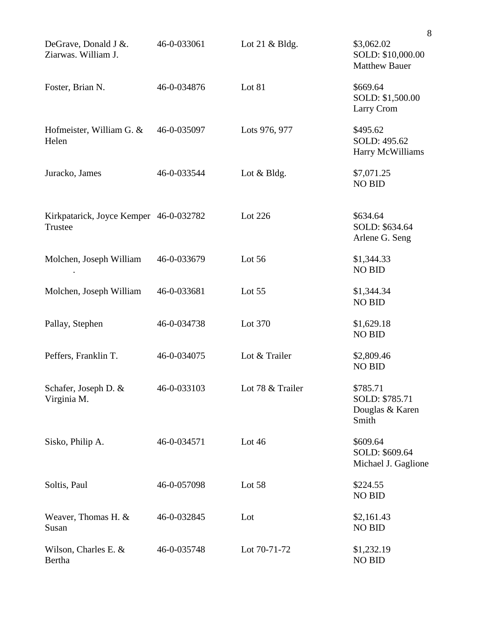|                                                   |             |                  | 8                                                       |  |
|---------------------------------------------------|-------------|------------------|---------------------------------------------------------|--|
| DeGrave, Donald J &.<br>Ziarwas. William J.       | 46-0-033061 | Lot 21 $&$ Bldg. | \$3,062.02<br>SOLD: \$10,000.00<br><b>Matthew Bauer</b> |  |
| Foster, Brian N.                                  | 46-0-034876 | Lot 81           | \$669.64<br>SOLD: \$1,500.00<br>Larry Crom              |  |
| Hofmeister, William G. &<br>Helen                 | 46-0-035097 | Lots 976, 977    | \$495.62<br>SOLD: 495.62<br>Harry McWilliams            |  |
| Juracko, James                                    | 46-0-033544 | Lot $& Bldg.$    | \$7,071.25<br><b>NO BID</b>                             |  |
| Kirkpatarick, Joyce Kemper 46-0-032782<br>Trustee |             | Lot 226          | \$634.64<br>SOLD: \$634.64<br>Arlene G. Seng            |  |
| Molchen, Joseph William                           | 46-0-033679 | Lot $56$         | \$1,344.33<br><b>NO BID</b>                             |  |
| Molchen, Joseph William                           | 46-0-033681 | Lot $55$         | \$1,344.34<br><b>NO BID</b>                             |  |
| Pallay, Stephen                                   | 46-0-034738 | Lot 370          | \$1,629.18<br><b>NO BID</b>                             |  |
| Peffers, Franklin T.                              | 46-0-034075 | Lot & Trailer    | \$2,809.46<br><b>NO BID</b>                             |  |
| Schafer, Joseph D. &<br>Virginia M.               | 46-0-033103 | Lot 78 & Trailer | \$785.71<br>SOLD: \$785.71<br>Douglas & Karen<br>Smith  |  |
| Sisko, Philip A.                                  | 46-0-034571 | Lot 46           | \$609.64<br>SOLD: \$609.64<br>Michael J. Gaglione       |  |
| Soltis, Paul                                      | 46-0-057098 | Lot 58           | \$224.55<br><b>NO BID</b>                               |  |
| Weaver, Thomas H. &<br>Susan                      | 46-0-032845 | Lot              | \$2,161.43<br><b>NO BID</b>                             |  |
| Wilson, Charles E. &<br>Bertha                    | 46-0-035748 | Lot 70-71-72     | \$1,232.19<br><b>NO BID</b>                             |  |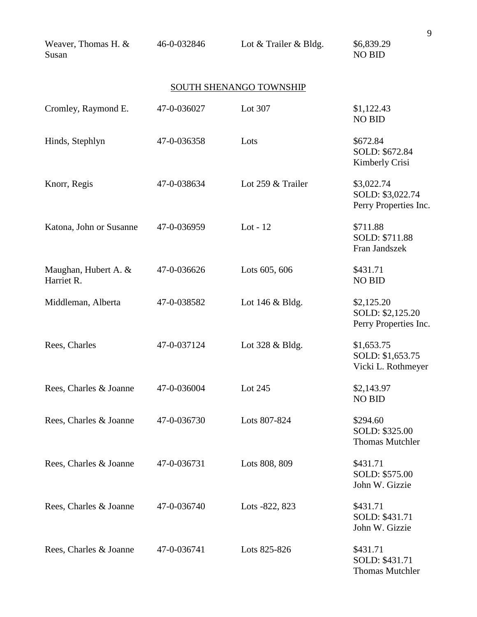| Weaver, Thomas H. &<br>Susan       | 46-0-032846 | Lot & Trailer & Bldg.   | \$6,839.29<br><b>NO BID</b>                             |
|------------------------------------|-------------|-------------------------|---------------------------------------------------------|
|                                    |             | SOUTH SHENANGO TOWNSHIP |                                                         |
| Cromley, Raymond E.                | 47-0-036027 | Lot 307                 | \$1,122.43<br><b>NO BID</b>                             |
| Hinds, Stephlyn                    | 47-0-036358 | Lots                    | \$672.84<br>SOLD: \$672.84<br>Kimberly Crisi            |
| Knorr, Regis                       | 47-0-038634 | Lot 259 & Trailer       | \$3,022.74<br>SOLD: \$3,022.74<br>Perry Properties Inc. |
| Katona, John or Susanne            | 47-0-036959 | Lot - $12$              | \$711.88<br>SOLD: \$711.88<br>Fran Jandszek             |
| Maughan, Hubert A. &<br>Harriet R. | 47-0-036626 | Lots 605, 606           | \$431.71<br><b>NO BID</b>                               |
| Middleman, Alberta                 | 47-0-038582 | Lot 146 & Bldg.         | \$2,125.20<br>SOLD: \$2,125.20<br>Perry Properties Inc. |
| Rees, Charles                      | 47-0-037124 | Lot 328 & Bldg.         | \$1,653.75<br>SOLD: \$1,653.75<br>Vicki L. Rothmeyer    |
| Rees, Charles & Joanne             | 47-0-036004 | Lot 245                 | \$2,143.97<br><b>NO BID</b>                             |
| Rees, Charles & Joanne             | 47-0-036730 | Lots 807-824            | \$294.60<br>SOLD: \$325.00<br><b>Thomas Mutchler</b>    |
| Rees, Charles & Joanne             | 47-0-036731 | Lots 808, 809           | \$431.71<br>SOLD: \$575.00<br>John W. Gizzie            |
| Rees, Charles & Joanne             | 47-0-036740 | Lots -822, 823          | \$431.71<br>SOLD: \$431.71<br>John W. Gizzie            |
| Rees, Charles & Joanne             | 47-0-036741 | Lots 825-826            | \$431.71<br>SOLD: \$431.71<br><b>Thomas Mutchler</b>    |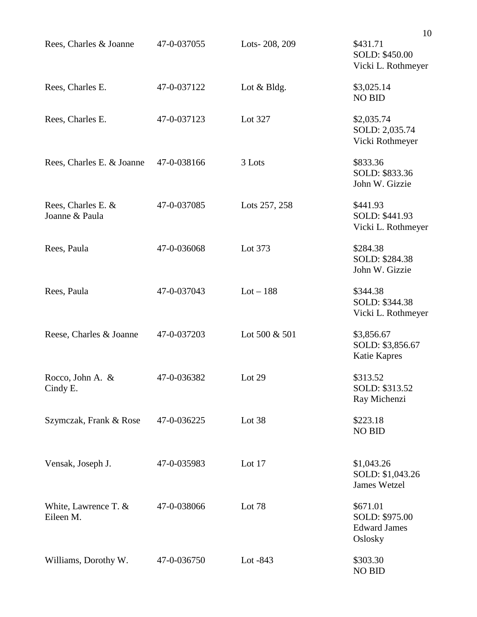|                                      |             |               | 10                                                           |
|--------------------------------------|-------------|---------------|--------------------------------------------------------------|
| Rees, Charles & Joanne               | 47-0-037055 | Lots-208, 209 | \$431.71<br>SOLD: \$450.00<br>Vicki L. Rothmeyer             |
| Rees, Charles E.                     | 47-0-037122 | Lot $& Bldg.$ | \$3,025.14<br><b>NO BID</b>                                  |
| Rees, Charles E.                     | 47-0-037123 | Lot 327       | \$2,035.74<br>SOLD: 2,035.74<br>Vicki Rothmeyer              |
| Rees, Charles E. & Joanne            | 47-0-038166 | 3 Lots        | \$833.36<br>SOLD: \$833.36<br>John W. Gizzie                 |
| Rees, Charles E. &<br>Joanne & Paula | 47-0-037085 | Lots 257, 258 | \$441.93<br>SOLD: \$441.93<br>Vicki L. Rothmeyer             |
| Rees, Paula                          | 47-0-036068 | Lot 373       | \$284.38<br>SOLD: \$284.38<br>John W. Gizzie                 |
| Rees, Paula                          | 47-0-037043 | $Lot - 188$   | \$344.38<br>SOLD: \$344.38<br>Vicki L. Rothmeyer             |
| Reese, Charles & Joanne              | 47-0-037203 | Lot 500 & 501 | \$3,856.67<br>SOLD: \$3,856.67<br><b>Katie Kapres</b>        |
| Rocco, John A. &<br>Cindy E.         | 47-0-036382 | Lot 29        | \$313.52<br>SOLD: \$313.52<br>Ray Michenzi                   |
| Szymczak, Frank & Rose               | 47-0-036225 | Lot 38        | \$223.18<br><b>NO BID</b>                                    |
| Vensak, Joseph J.                    | 47-0-035983 | Lot 17        | \$1,043.26<br>SOLD: \$1,043.26<br><b>James Wetzel</b>        |
| White, Lawrence T. $&$<br>Eileen M.  | 47-0-038066 | Lot 78        | \$671.01<br>SOLD: \$975.00<br><b>Edward James</b><br>Oslosky |
| Williams, Dorothy W.                 | 47-0-036750 | Lot $-843$    | \$303.30<br><b>NO BID</b>                                    |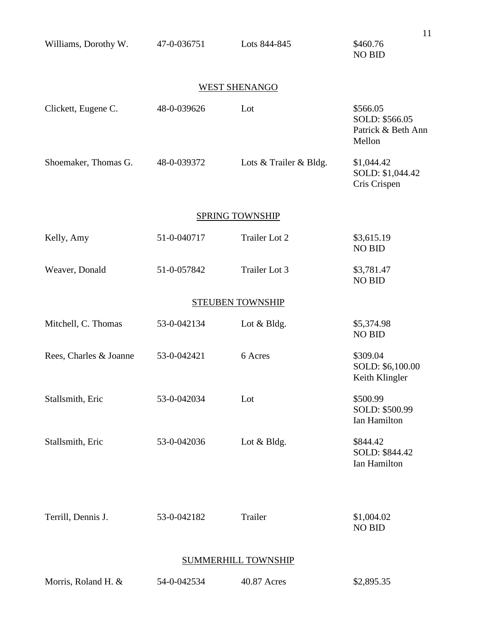| Williams, Dorothy W.   | 47-0-036751 | Lots 844-845               | 11<br>\$460.76<br><b>NO BID</b>                            |
|------------------------|-------------|----------------------------|------------------------------------------------------------|
|                        |             | <b>WEST SHENANGO</b>       |                                                            |
| Clickett, Eugene C.    | 48-0-039626 | Lot                        | \$566.05<br>SOLD: \$566.05<br>Patrick & Beth Ann<br>Mellon |
| Shoemaker, Thomas G.   | 48-0-039372 | Lots & Trailer & Bldg.     | \$1,044.42<br>SOLD: \$1,044.42<br>Cris Crispen             |
|                        |             | SPRING TOWNSHIP            |                                                            |
| Kelly, Amy             | 51-0-040717 | Trailer Lot 2              | \$3,615.19<br><b>NO BID</b>                                |
| Weaver, Donald         | 51-0-057842 | Trailer Lot 3              | \$3,781.47<br><b>NO BID</b>                                |
|                        |             | <b>STEUBEN TOWNSHIP</b>    |                                                            |
| Mitchell, C. Thomas    | 53-0-042134 | Lot & Bldg.                | \$5,374.98<br><b>NO BID</b>                                |
| Rees, Charles & Joanne | 53-0-042421 | 6 Acres                    | \$309.04<br>SOLD: \$6,100.00<br>Keith Klingler             |
| Stallsmith, Eric       | 53-0-042034 | Lot                        | \$500.99<br>SOLD: \$500.99<br>Ian Hamilton                 |
| Stallsmith, Eric       | 53-0-042036 | Lot & Bldg.                | \$844.42<br>SOLD: \$844.42<br>Ian Hamilton                 |
| Terrill, Dennis J.     | 53-0-042182 | Trailer                    | \$1,004.02<br><b>NO BID</b>                                |
|                        |             | <b>SUMMERHILL TOWNSHIP</b> |                                                            |

|  | Morris, Roland H. & | 54-0-042534 | 40.87 Acres | \$2,895.35 |
|--|---------------------|-------------|-------------|------------|
|--|---------------------|-------------|-------------|------------|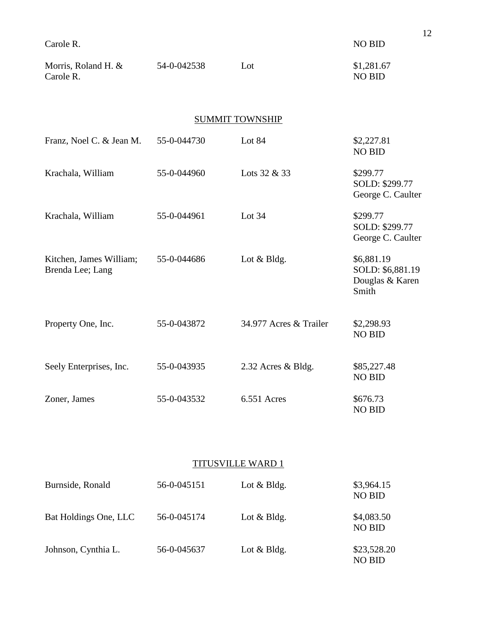| Carole R.                                   |             |                        | <b>NO BID</b>                                              |  |  |  |
|---------------------------------------------|-------------|------------------------|------------------------------------------------------------|--|--|--|
| Morris, Roland H. &<br>Carole R.            | 54-0-042538 | Lot                    | \$1,281.67<br><b>NO BID</b>                                |  |  |  |
| <b>SUMMIT TOWNSHIP</b>                      |             |                        |                                                            |  |  |  |
| Franz, Noel C. & Jean M.                    | 55-0-044730 | Lot 84                 | \$2,227.81<br><b>NO BID</b>                                |  |  |  |
| Krachala, William                           | 55-0-044960 | Lots 32 & 33           | \$299.77<br>SOLD: \$299.77<br>George C. Caulter            |  |  |  |
| Krachala, William                           | 55-0-044961 | Lot $34$               | \$299.77<br>SOLD: \$299.77<br>George C. Caulter            |  |  |  |
| Kitchen, James William;<br>Brenda Lee; Lang | 55-0-044686 | Lot & Bldg.            | \$6,881.19<br>SOLD: \$6,881.19<br>Douglas & Karen<br>Smith |  |  |  |
| Property One, Inc.                          | 55-0-043872 | 34.977 Acres & Trailer | \$2,298.93<br><b>NO BID</b>                                |  |  |  |
| Seely Enterprises, Inc.                     | 55-0-043935 | 2.32 Acres & Bldg.     | \$85,227.48<br><b>NO BID</b>                               |  |  |  |
| Zoner, James                                | 55-0-043532 | 6.551 Acres            | \$676.73<br><b>NO BID</b>                                  |  |  |  |

## TITUSVILLE WARD 1

| Burnside, Ronald      | 56-0-045151 | Lot $&$ Bldg.     | \$3,964.15<br><b>NO BID</b>  |  |
|-----------------------|-------------|-------------------|------------------------------|--|
| Bat Holdings One, LLC | 56-0-045174 | Lot $&$ Bldg.     | \$4,083.50<br><b>NO BID</b>  |  |
| Johnson, Cynthia L.   | 56-0-045637 | Lot $& B \, dg$ . | \$23,528.20<br><b>NO BID</b> |  |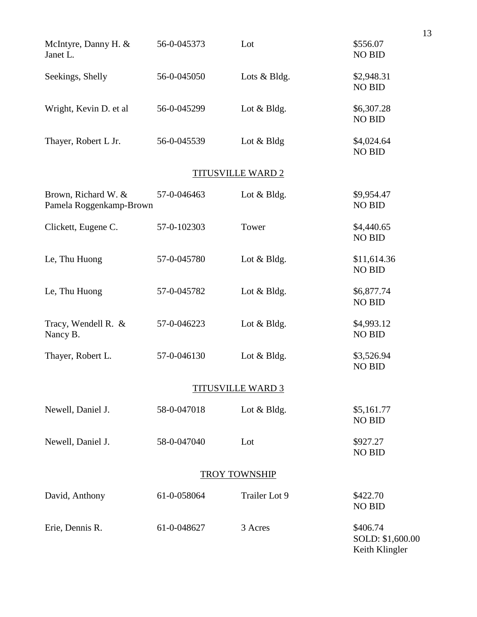| McIntyre, Danny H. &<br>Janet L.               | 56-0-045373 | Lot                      | \$556.07<br><b>NO BID</b>                      |
|------------------------------------------------|-------------|--------------------------|------------------------------------------------|
| Seekings, Shelly                               | 56-0-045050 | Lots & Bldg.             | \$2,948.31<br><b>NO BID</b>                    |
| Wright, Kevin D. et al                         | 56-0-045299 | Lot & Bldg.              | \$6,307.28<br><b>NO BID</b>                    |
| Thayer, Robert L Jr.                           | 56-0-045539 | Lot $& B \, dg$          | \$4,024.64<br><b>NO BID</b>                    |
|                                                |             | <b>TITUSVILLE WARD 2</b> |                                                |
| Brown, Richard W. &<br>Pamela Roggenkamp-Brown | 57-0-046463 | Lot $& Bldg.$            | \$9,954.47<br><b>NO BID</b>                    |
| Clickett, Eugene C.                            | 57-0-102303 | Tower                    | \$4,440.65<br><b>NO BID</b>                    |
| Le, Thu Huong                                  | 57-0-045780 | Lot $& Bldg.$            | \$11,614.36<br><b>NO BID</b>                   |
| Le, Thu Huong                                  | 57-0-045782 | Lot $& Bldg.$            | \$6,877.74<br><b>NO BID</b>                    |
| Tracy, Wendell R. &<br>Nancy B.                | 57-0-046223 | Lot $& Bldg.$            | \$4,993.12<br><b>NO BID</b>                    |
| Thayer, Robert L.                              | 57-0-046130 | Lot & Bldg.              | \$3,526.94<br><b>NO BID</b>                    |
|                                                |             | <b>TITUSVILLE WARD 3</b> |                                                |
| Newell, Daniel J.                              | 58-0-047018 | Lot & Bldg.              | \$5,161.77<br><b>NO BID</b>                    |
| Newell, Daniel J.                              | 58-0-047040 | Lot                      | \$927.27<br><b>NO BID</b>                      |
|                                                |             | <b>TROY TOWNSHIP</b>     |                                                |
| David, Anthony                                 | 61-0-058064 | Trailer Lot 9            | \$422.70<br><b>NO BID</b>                      |
| Erie, Dennis R.                                | 61-0-048627 | 3 Acres                  | \$406.74<br>SOLD: \$1,600.00<br>Keith Klingler |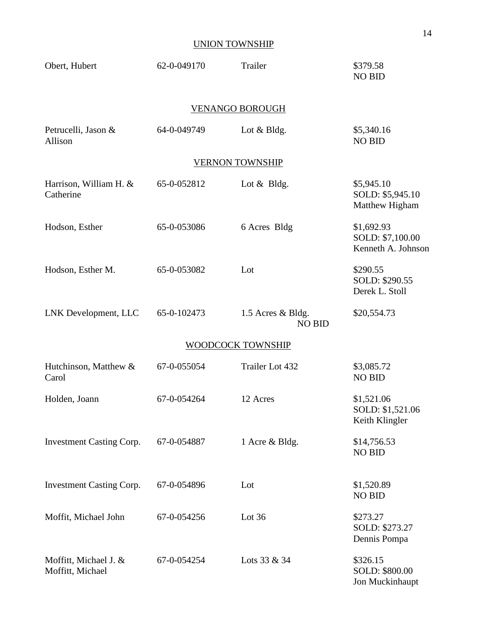### UNION TOWNSHIP

| Obert, Hubert                             | 62-0-049170 | Trailer                            | \$379.58<br><b>NO BID</b>                            |  |  |  |
|-------------------------------------------|-------------|------------------------------------|------------------------------------------------------|--|--|--|
| <b>VENANGO BOROUGH</b>                    |             |                                    |                                                      |  |  |  |
| Petrucelli, Jason &<br>Allison            | 64-0-049749 | Lot & Bldg.                        | \$5,340.16<br><b>NO BID</b>                          |  |  |  |
|                                           |             | <b>VERNON TOWNSHIP</b>             |                                                      |  |  |  |
| Harrison, William H. &<br>Catherine       | 65-0-052812 | Lot $&$ Bldg.                      | \$5,945.10<br>SOLD: \$5,945.10<br>Matthew Higham     |  |  |  |
| Hodson, Esther                            | 65-0-053086 | 6 Acres Bldg                       | \$1,692.93<br>SOLD: \$7,100.00<br>Kenneth A. Johnson |  |  |  |
| Hodson, Esther M.                         | 65-0-053082 | Lot                                | \$290.55<br>SOLD: \$290.55<br>Derek L. Stoll         |  |  |  |
| LNK Development, LLC                      | 65-0-102473 | 1.5 Acres & Bldg.<br><b>NO BID</b> | \$20,554.73                                          |  |  |  |
| WOODCOCK TOWNSHIP                         |             |                                    |                                                      |  |  |  |
| Hutchinson, Matthew &<br>Carol            | 67-0-055054 | Trailer Lot 432                    | \$3,085.72<br><b>NO BID</b>                          |  |  |  |
| Holden, Joann                             | 67-0-054264 | 12 Acres                           | \$1,521.06<br>SOLD: \$1,521.06<br>Keith Klingler     |  |  |  |
| <b>Investment Casting Corp.</b>           | 67-0-054887 | 1 Acre & Bldg.                     | \$14,756.53<br><b>NO BID</b>                         |  |  |  |
| <b>Investment Casting Corp.</b>           | 67-0-054896 | Lot                                | \$1,520.89<br><b>NO BID</b>                          |  |  |  |
| Moffit, Michael John                      | 67-0-054256 | Lot $36$                           | \$273.27<br>SOLD: \$273.27<br>Dennis Pompa           |  |  |  |
| Moffitt, Michael J. &<br>Moffitt, Michael | 67-0-054254 | Lots 33 & 34                       | \$326.15<br>SOLD: \$800.00<br>Jon Muckinhaupt        |  |  |  |